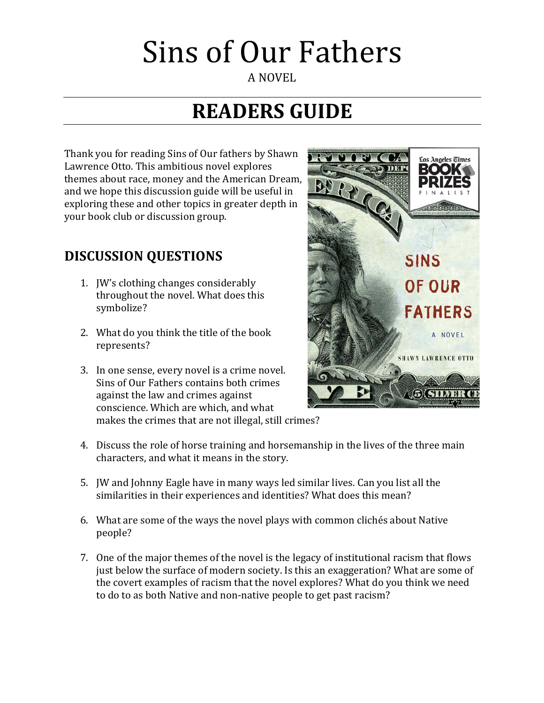#### A NOVEL

## **READERS GUIDE**

Thank you for reading Sins of Our fathers by Shawn Lawrence Otto. This ambitious novel explores themes about race, money and the American Dream, and we hope this discussion guide will be useful in exploring these and other topics in greater depth in your book club or discussion group.

### **DISCUSSION QUESTIONS**

- 1. JW's clothing changes considerably throughout the novel. What does this symbolize?
- 2. What do you think the title of the book represents?
- 3. In one sense, every novel is a crime novel. Sins of Our Fathers contains both crimes against the law and crimes against conscience. Which are which, and what makes the crimes that are not illegal, still crimes?



- 4. Discuss the role of horse training and horsemanship in the lives of the three main characters, and what it means in the story.
- 5. JW and Johnny Eagle have in many ways led similar lives. Can you list all the similarities in their experiences and identities? What does this mean?
- 6. What are some of the ways the novel plays with common clichés about Native people?
- 7. One of the major themes of the novel is the legacy of institutional racism that flows just below the surface of modern society. Is this an exaggeration? What are some of the covert examples of racism that the novel explores? What do you think we need to do to as both Native and non-native people to get past racism?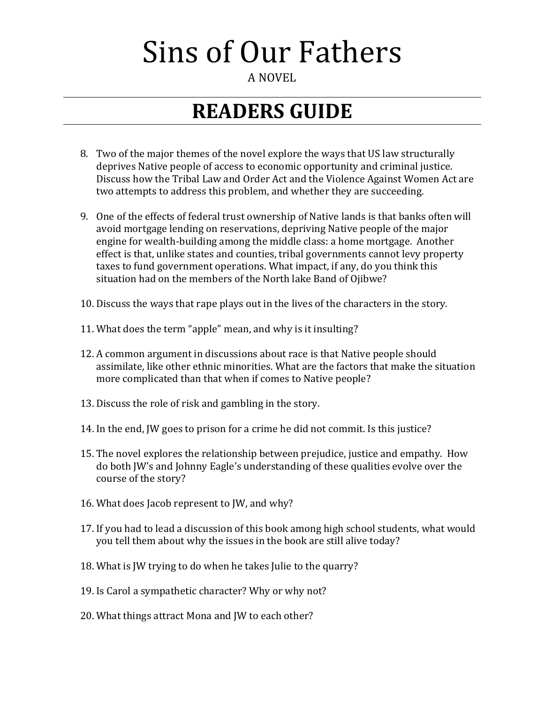#### A NOVEL

## **READERS GUIDE**

- 8. Two of the major themes of the novel explore the ways that US law structurally deprives Native people of access to economic opportunity and criminal justice. Discuss how the Tribal Law and Order Act and the Violence Against Women Act are two attempts to address this problem, and whether they are succeeding.
- 9. One of the effects of federal trust ownership of Native lands is that banks often will avoid mortgage lending on reservations, depriving Native people of the major engine for wealth-building among the middle class: a home mortgage. Another effect is that, unlike states and counties, tribal governments cannot levy property taxes to fund government operations. What impact, if any, do you think this situation had on the members of the North lake Band of Ojibwe?
- 10. Discuss the ways that rape plays out in the lives of the characters in the story.
- 11. What does the term "apple" mean, and why is it insulting?
- 12. A common argument in discussions about race is that Native people should assimilate, like other ethnic minorities. What are the factors that make the situation more complicated than that when if comes to Native people?
- 13. Discuss the role of risk and gambling in the story.
- 14. In the end, JW goes to prison for a crime he did not commit. Is this justice?
- 15. The novel explores the relationship between prejudice, justice and empathy. How do both JW's and Johnny Eagle's understanding of these qualities evolve over the course of the story?
- 16. What does Jacob represent to JW, and why?
- 17. If you had to lead a discussion of this book among high school students, what would you tell them about why the issues in the book are still alive today?
- 18. What is JW trying to do when he takes Julie to the quarry?
- 19. Is Carol a sympathetic character? Why or why not?
- 20. What things attract Mona and JW to each other?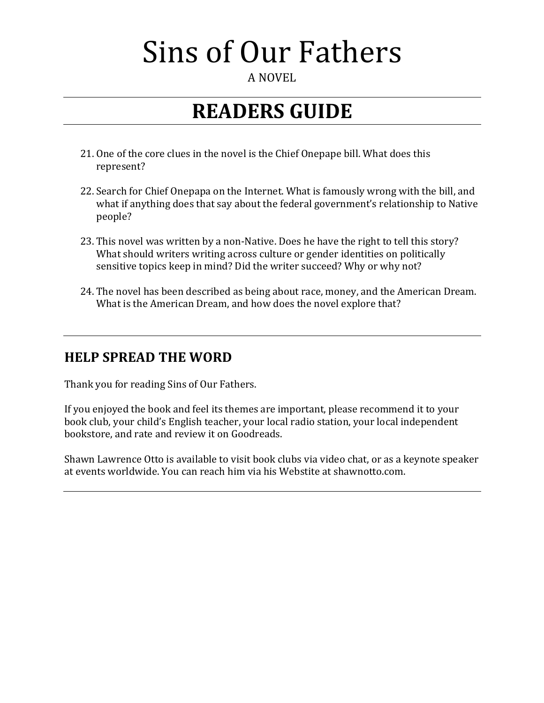#### A NOVEL

### **READERS GUIDE**

- 21. One of the core clues in the novel is the Chief Onepape bill. What does this represent?
- 22. Search for Chief Onepapa on the Internet. What is famously wrong with the bill, and what if anything does that say about the federal government's relationship to Native people?
- 23. This novel was written by a non-Native. Does he have the right to tell this story? What should writers writing across culture or gender identities on politically sensitive topics keep in mind? Did the writer succeed? Why or why not?
- 24. The novel has been described as being about race, money, and the American Dream. What is the American Dream, and how does the novel explore that?

### **HELP SPREAD THE WORD**

Thank you for reading Sins of Our Fathers.

If you enjoyed the book and feel its themes are important, please recommend it to your book club, your child's English teacher, your local radio station, your local independent bookstore, and rate and review it on Goodreads.

Shawn Lawrence Otto is available to visit book clubs via video chat, or as a keynote speaker at events worldwide. You can reach him via his Webstite at shawnotto.com.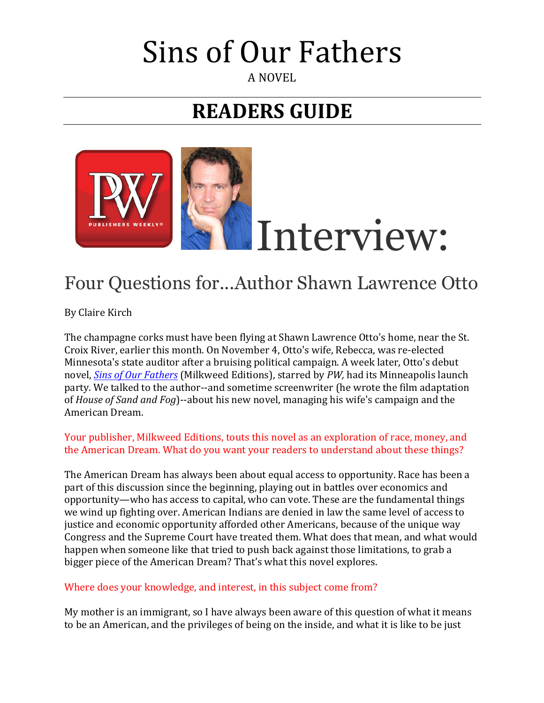#### A NOVEL

## **READERS GUIDE**



### Four Questions for...Author Shawn Lawrence Otto

By Claire Kirch

The champagne corks must have been flying at Shawn Lawrence Otto's home, near the St. Croix River, earlier this month. On November 4, Otto's wife, Rebecca, was re-elected Minnesota's state auditor after a bruising political campaign. A week later, Otto's debut novel, *Sins of Our Fathers* (Milkweed Editions), starred by PW, had its Minneapolis launch party. We talked to the author--and sometime screenwriter (he wrote the film adaptation of *House of Sand and Fog*)--about his new novel, managing his wife's campaign and the American Dream.

#### Your publisher, Milkweed Editions, touts this novel as an exploration of race, money, and the American Dream. What do you want your readers to understand about these things?

The American Dream has always been about equal access to opportunity. Race has been a part of this discussion since the beginning, playing out in battles over economics and opportunity—who has access to capital, who can vote. These are the fundamental things we wind up fighting over. American Indians are denied in law the same level of access to justice and economic opportunity afforded other Americans, because of the unique way Congress and the Supreme Court have treated them. What does that mean, and what would happen when someone like that tried to push back against those limitations, to grab a bigger piece of the American Dream? That's what this novel explores.

#### Where does your knowledge, and interest, in this subject come from?

My mother is an immigrant, so I have always been aware of this question of what it means to be an American, and the privileges of being on the inside, and what it is like to be just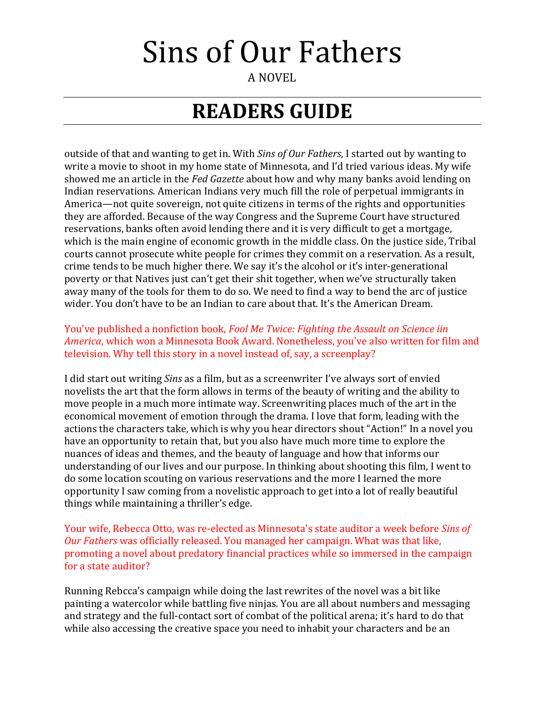A NOVEL

## **READERS GUIDE**

outside of that and wanting to get in. With *Sins of Our Fathers*, I started out by wanting to write a movie to shoot in my home state of Minnesota, and I'd tried various ideas. My wife showed me an article in the *Fed Gazette* about how and why many banks avoid lending on Indian reservations. American Indians very much fill the role of perpetual immigrants in America—not quite sovereign, not quite citizens in terms of the rights and opportunities they are afforded. Because of the way Congress and the Supreme Court have structured reservations, banks often avoid lending there and it is very difficult to get a mortgage, which is the main engine of economic growth in the middle class. On the justice side, Tribal courts cannot prosecute white people for crimes they commit on a reservation. As a result, crime tends to be much higher there. We say it's the alcohol or it's inter-generational poverty or that Natives just can't get their shit together, when we've structurally taken away many of the tools for them to do so. We need to find a way to bend the arc of justice wider. You don't have to be an Indian to care about that. It's the American Dream.

#### You've published a nonfiction book, *Fool Me Twice: Fighting the Assault on Science iin America*, which won a Minnesota Book Award. Nonetheless, you've also written for film and television. Why tell this story in a novel instead of, say, a screenplay?

I did start out writing *Sins* as a film, but as a screenwriter I've always sort of envied novelists the art that the form allows in terms of the beauty of writing and the ability to move people in a much more intimate way. Screenwriting places much of the art in the economical movement of emotion through the drama. I love that form, leading with the actions the characters take, which is why you hear directors shout "Action!" In a novel you have an opportunity to retain that, but you also have much more time to explore the nuances of ideas and themes, and the beauty of language and how that informs our understanding of our lives and our purpose. In thinking about shooting this film, I went to do some location scouting on various reservations and the more I learned the more opportunity I saw coming from a novelistic approach to get into a lot of really beautiful things while maintaining a thriller's edge.

Your wife, Rebecca Otto, was re-elected as Minnesota's state auditor a week before *Sins of Our Fathers* was officially released. You managed her campaign. What was that like, promoting a novel about predatory financial practices while so immersed in the campaign for a state auditor?

Running Rebcca's campaign while doing the last rewrites of the novel was a bit like painting a watercolor while battling five ninjas. You are all about numbers and messaging and strategy and the full-contact sort of combat of the political arena; it's hard to do that while also accessing the creative space you need to inhabit your characters and be an